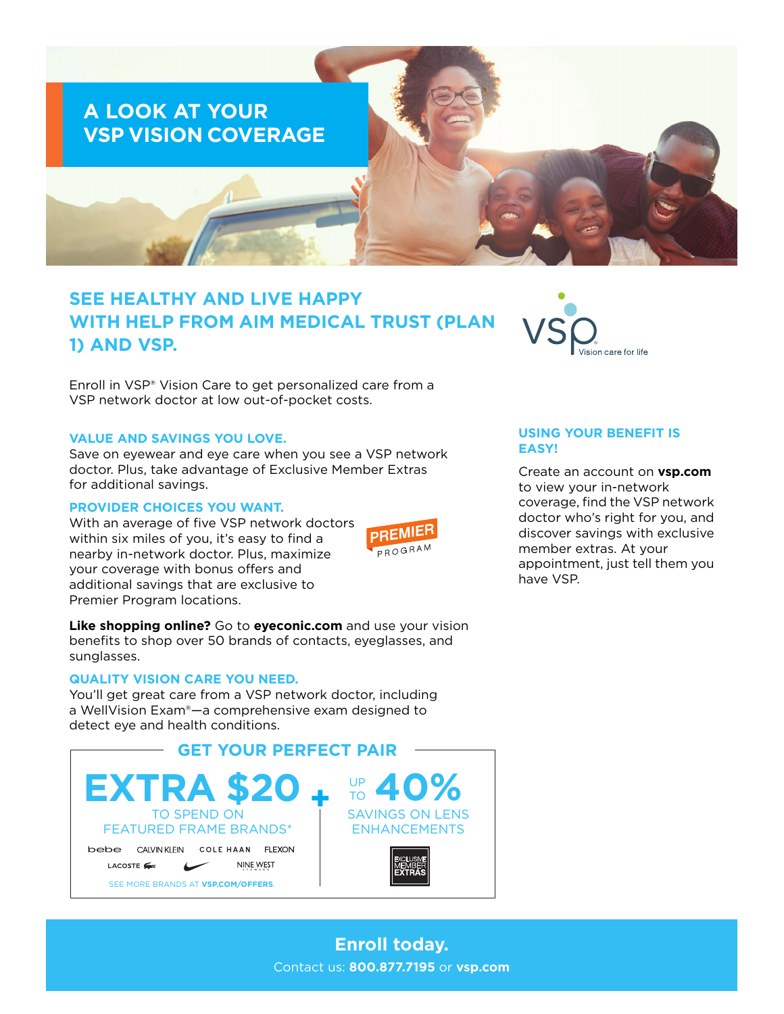

# **SEE HEALTHY AND LIVE HAPPY WITH HELP FROM AIM MEDICAL TRUST (PLAN 1) AND VSP.**

Enroll in VSP® Vision Care to get personalized care from a VSP network doctor at low out-of-pocket costs.

#### **VALUE AND SAVINGS YOU LOVE.**

Save on eyewear and eye care when you see a VSP network doctor. Plus, take advantage of Exclusive Member Extras for additional savings.

#### **PROVIDER CHOICES YOU WANT.**

With an average of five VSP network doctors within six miles of you, it's easy to find a nearby in-network doctor. Plus, maximize your coverage with bonus offers and additional savings that are exclusive to Premier Program locations.



**Like shopping online?** Go to **[eyeconic.com](https://www.eyeconic.com)** and use your vision benefits to shop over 50 brands of contacts, eyeglasses, and sunglasses.

## **QUALITY VISION CARE YOU NEED.**

You'll get great care from a VSP network doctor, including a WellVision Exam®—a comprehensive exam designed to detect eye and health conditions.





## **USING YOUR BENEFIT IS EASY!**

Create an account on **[vsp.com](http://www.vsp.com)** to view your in-network coverage, find the VSP network doctor who's right for you, and discover savings with exclusive member extras. At your appointment, just tell them you have VSP.

**Enroll today.** Contact us: **800.877.7195** or **[vsp.com](http://www.vsp.com)**